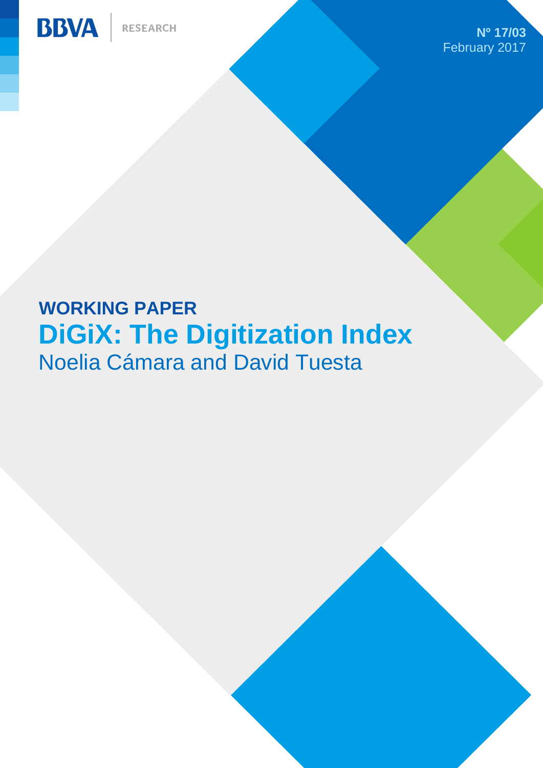**RESEARCH** 



**Nº 17/03** February 2017

# **WORKING PAPER DiGiX: The Digitization Index** Noelia Cámara and David Tuesta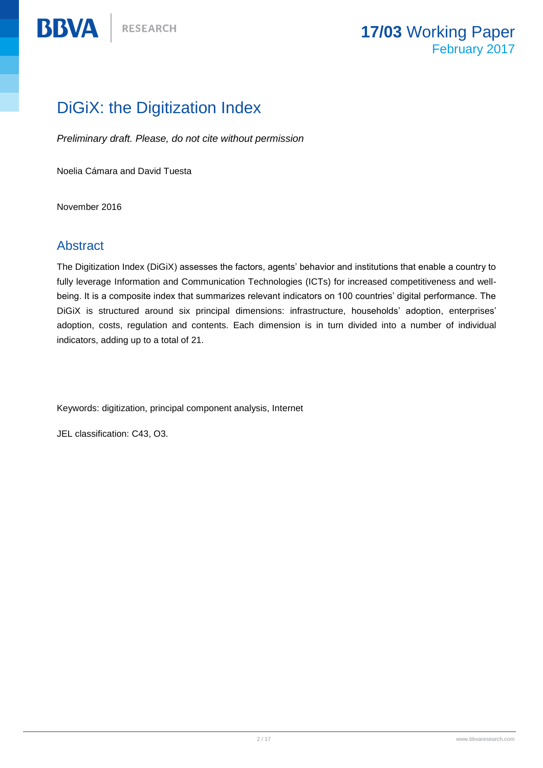## DiGiX: the Digitization Index

*Preliminary draft. Please, do not cite without permission*

Noelia Cámara and David Tuesta

November 2016

### Abstract

**BBVA** 

The Digitization Index (DiGiX) assesses the factors, agents' behavior and institutions that enable a country to fully leverage Information and Communication Technologies (ICTs) for increased competitiveness and wellbeing. It is a composite index that summarizes relevant indicators on 100 countries' digital performance. The DiGiX is structured around six principal dimensions: infrastructure, households' adoption, enterprises' adoption, costs, regulation and contents. Each dimension is in turn divided into a number of individual indicators, adding up to a total of 21.

Keywords: digitization, principal component analysis, Internet

JEL classification: C43, O3.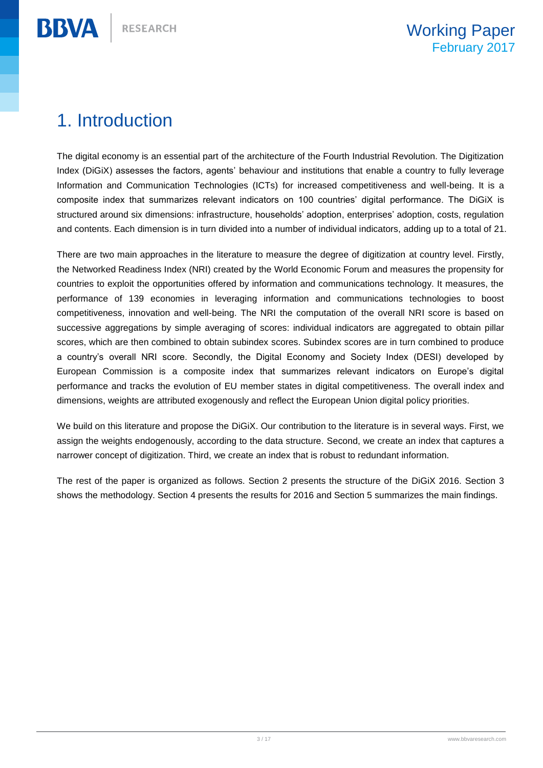# 1. Introduction

**BBVA** 

The digital economy is an essential part of the architecture of the Fourth Industrial Revolution. The Digitization Index (DiGiX) assesses the factors, agents' behaviour and institutions that enable a country to fully leverage Information and Communication Technologies (ICTs) for increased competitiveness and well-being. It is a composite index that summarizes relevant indicators on 100 countries' digital performance. The DiGiX is structured around six dimensions: infrastructure, households' adoption, enterprises' adoption, costs, regulation and contents. Each dimension is in turn divided into a number of individual indicators, adding up to a total of 21.

There are two main approaches in the literature to measure the degree of digitization at country level. Firstly, the Networked Readiness Index (NRI) created by the World Economic Forum and measures the propensity for countries to exploit the opportunities offered by information and communications technology. It measures, the performance of 139 economies in leveraging information and communications technologies to boost competitiveness, innovation and well-being. The NRI the computation of the overall NRI score is based on successive aggregations by simple averaging of scores: individual indicators are aggregated to obtain pillar scores, which are then combined to obtain subindex scores. Subindex scores are in turn combined to produce a country's overall NRI score. Secondly, the Digital Economy and Society Index (DESI) developed by European Commission is a composite index that summarizes relevant indicators on Europe's digital performance and tracks the evolution of EU member states in digital competitiveness. The overall index and dimensions, weights are attributed exogenously and reflect the European Union digital policy priorities.

We build on this literature and propose the DiGiX. Our contribution to the literature is in several ways. First, we assign the weights endogenously, according to the data structure. Second, we create an index that captures a narrower concept of digitization. Third, we create an index that is robust to redundant information.

The rest of the paper is organized as follows. Section 2 presents the structure of the DiGiX 2016. Section 3 shows the methodology. Section 4 presents the results for 2016 and Section 5 summarizes the main findings.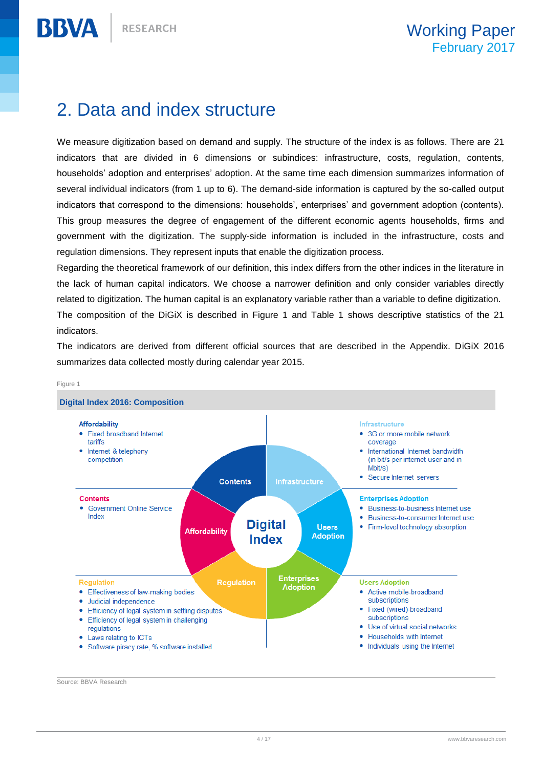# 2. Data and index structure

We measure digitization based on demand and supply. The structure of the index is as follows. There are 21 indicators that are divided in 6 dimensions or subindices: infrastructure, costs, regulation, contents, households' adoption and enterprises' adoption. At the same time each dimension summarizes information of several individual indicators (from 1 up to 6). The demand-side information is captured by the so-called output indicators that correspond to the dimensions: households', enterprises' and government adoption (contents). This group measures the degree of engagement of the different economic agents households, firms and government with the digitization. The supply-side information is included in the infrastructure, costs and regulation dimensions. They represent inputs that enable the digitization process.

Regarding the theoretical framework of our definition, this index differs from the other indices in the literature in the lack of human capital indicators. We choose a narrower definition and only consider variables directly related to digitization. The human capital is an explanatory variable rather than a variable to define digitization. The composition of the DiGiX is described in Figure 1 and Table 1 shows descriptive statistics of the 21 indicators.

The indicators are derived from different official sources that are described in the Appendix. DiGiX 2016 summarizes data collected mostly during calendar year 2015.



Figure 1

**BBVA** 

Source: BBVA Research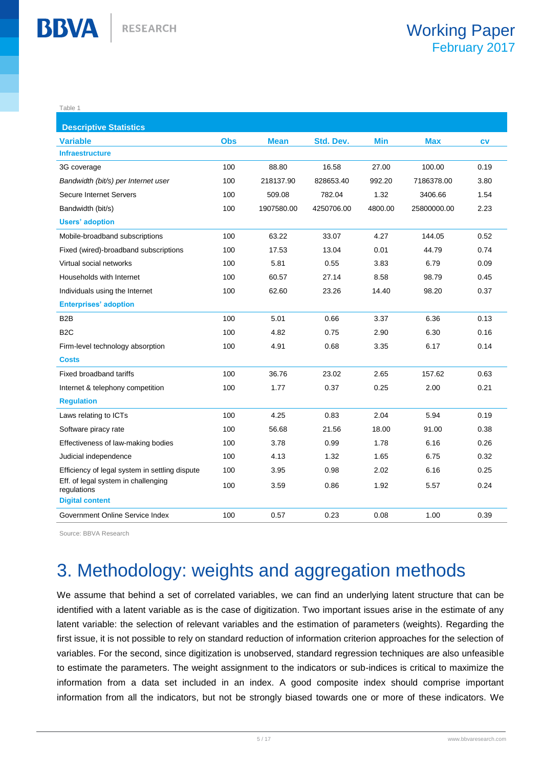Table 1

**BBVA** 

| <b>Descriptive Statistics</b>                      |            |             |            |            |             |           |
|----------------------------------------------------|------------|-------------|------------|------------|-------------|-----------|
| <b>Variable</b>                                    | <b>Obs</b> | <b>Mean</b> | Std. Dev.  | <b>Min</b> | <b>Max</b>  | <b>CV</b> |
| <b>Infraestructure</b>                             |            |             |            |            |             |           |
| 3G coverage                                        | 100        | 88.80       | 16.58      | 27.00      | 100.00      | 0.19      |
| Bandwidth (bit/s) per Internet user                | 100        | 218137.90   | 828653.40  | 992.20     | 7186378.00  | 3.80      |
| Secure Internet Servers                            | 100        | 509.08      | 782.04     | 1.32       | 3406.66     | 1.54      |
| Bandwidth (bit/s)                                  | 100        | 1907580.00  | 4250706.00 | 4800.00    | 25800000.00 | 2.23      |
| <b>Users' adoption</b>                             |            |             |            |            |             |           |
| Mobile-broadband subscriptions                     | 100        | 63.22       | 33.07      | 4.27       | 144.05      | 0.52      |
| Fixed (wired)-broadband subscriptions              | 100        | 17.53       | 13.04      | 0.01       | 44.79       | 0.74      |
| Virtual social networks                            | 100        | 5.81        | 0.55       | 3.83       | 6.79        | 0.09      |
| Households with Internet                           | 100        | 60.57       | 27.14      | 8.58       | 98.79       | 0.45      |
| Individuals using the Internet                     | 100        | 62.60       | 23.26      | 14.40      | 98.20       | 0.37      |
| <b>Enterprises' adoption</b>                       |            |             |            |            |             |           |
| B <sub>2</sub> B                                   | 100        | 5.01        | 0.66       | 3.37       | 6.36        | 0.13      |
| B <sub>2</sub> C                                   | 100        | 4.82        | 0.75       | 2.90       | 6.30        | 0.16      |
| Firm-level technology absorption                   | 100        | 4.91        | 0.68       | 3.35       | 6.17        | 0.14      |
| Costs                                              |            |             |            |            |             |           |
| Fixed broadband tariffs                            | 100        | 36.76       | 23.02      | 2.65       | 157.62      | 0.63      |
| Internet & telephony competition                   | 100        | 1.77        | 0.37       | 0.25       | 2.00        | 0.21      |
| <b>Regulation</b>                                  |            |             |            |            |             |           |
| Laws relating to ICTs                              | 100        | 4.25        | 0.83       | 2.04       | 5.94        | 0.19      |
| Software piracy rate                               | 100        | 56.68       | 21.56      | 18.00      | 91.00       | 0.38      |
| Effectiveness of law-making bodies                 | 100        | 3.78        | 0.99       | 1.78       | 6.16        | 0.26      |
| Judicial independence                              | 100        | 4.13        | 1.32       | 1.65       | 6.75        | 0.32      |
| Efficiency of legal system in settling dispute     | 100        | 3.95        | 0.98       | 2.02       | 6.16        | 0.25      |
| Eff. of legal system in challenging<br>regulations | 100        | 3.59        | 0.86       | 1.92       | 5.57        | 0.24      |
| <b>Digital content</b>                             |            |             |            |            |             |           |
| Government Online Service Index                    | 100        | 0.57        | 0.23       | 0.08       | 1.00        | 0.39      |

Source: BBVA Research

# 3. Methodology: weights and aggregation methods

We assume that behind a set of correlated variables, we can find an underlying latent structure that can be identified with a latent variable as is the case of digitization. Two important issues arise in the estimate of any latent variable: the selection of relevant variables and the estimation of parameters (weights). Regarding the first issue, it is not possible to rely on standard reduction of information criterion approaches for the selection of variables. For the second, since digitization is unobserved, standard regression techniques are also unfeasible to estimate the parameters. The weight assignment to the indicators or sub-indices is critical to maximize the information from a data set included in an index. A good composite index should comprise important information from all the indicators, but not be strongly biased towards one or more of these indicators. We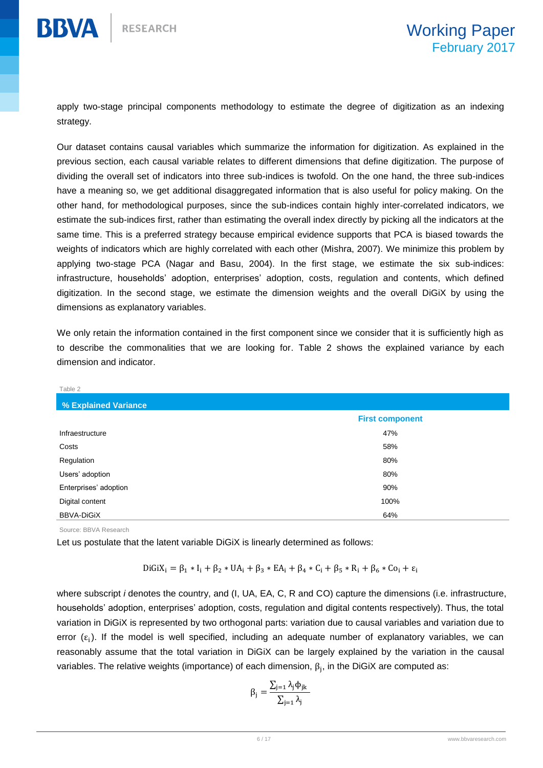apply two-stage principal components methodology to estimate the degree of digitization as an indexing strategy.

Our dataset contains causal variables which summarize the information for digitization. As explained in the previous section, each causal variable relates to different dimensions that define digitization. The purpose of dividing the overall set of indicators into three sub-indices is twofold. On the one hand, the three sub-indices have a meaning so, we get additional disaggregated information that is also useful for policy making. On the other hand, for methodological purposes, since the sub-indices contain highly inter-correlated indicators, we estimate the sub-indices first, rather than estimating the overall index directly by picking all the indicators at the same time. This is a preferred strategy because empirical evidence supports that PCA is biased towards the weights of indicators which are highly correlated with each other (Mishra, 2007). We minimize this problem by applying two-stage PCA (Nagar and Basu, 2004). In the first stage, we estimate the six sub-indices: infrastructure, households' adoption, enterprises' adoption, costs, regulation and contents, which defined digitization. In the second stage, we estimate the dimension weights and the overall DiGiX by using the dimensions as explanatory variables.

We only retain the information contained in the first component since we consider that it is sufficiently high as to describe the commonalities that we are looking for. Table 2 shows the explained variance by each dimension and indicator.

| Table 2               |                        |
|-----------------------|------------------------|
| % Explained Variance  |                        |
|                       | <b>First component</b> |
| Infraestructure       | 47%                    |
| Costs                 | 58%                    |
| Regulation            | 80%                    |
| Users' adoption       | 80%                    |
| Enterprises' adoption | 90%                    |
| Digital content       | 100%                   |
| <b>BBVA-DiGiX</b>     | 64%                    |

Source: BBVA Research

Let us postulate that the latent variable DiGiX is linearly determined as follows:

$$
DiGiX_i = \beta_1 * I_i + \beta_2 * UA_i + \beta_3 * EA_i + \beta_4 * C_i + \beta_5 * R_i + \beta_6 * Co_i + \epsilon_i
$$

where subscript *i* denotes the country, and (I, UA, EA, C, R and CO) capture the dimensions (i.e. infrastructure, households' adoption, enterprises' adoption, costs, regulation and digital contents respectively). Thus, the total variation in DiGiX is represented by two orthogonal parts: variation due to causal variables and variation due to error  $(\varepsilon_i)$ . If the model is well specified, including an adequate number of explanatory variables, we can reasonably assume that the total variation in DiGiX can be largely explained by the variation in the causal variables. The relative weights (importance) of each dimension,  $β_j$ , in the DiGiX are computed as:

$$
\beta_j = \frac{\sum_{j=1} \lambda_j \varphi_{jk}}{\sum_{j=1} \lambda_j}
$$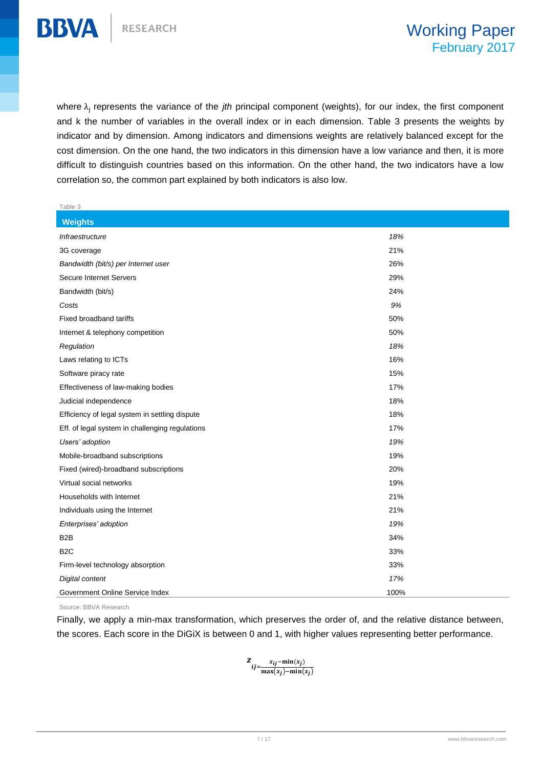

**BBVA** 

where λ<sub>j</sub> represents the variance of the *jth* principal component (weights), for our index, the first component and k the number of variables in the overall index or in each dimension. Table 3 presents the weights by indicator and by dimension. Among indicators and dimensions weights are relatively balanced except for the cost dimension. On the one hand, the two indicators in this dimension have a low variance and then, it is more difficult to distinguish countries based on this information. On the other hand, the two indicators have a low correlation so, the common part explained by both indicators is also low.

| Table 3                                         |      |
|-------------------------------------------------|------|
| <b>Weights</b>                                  |      |
| Infraestructure                                 | 18%  |
| 3G coverage                                     | 21%  |
| Bandwidth (bit/s) per Internet user             | 26%  |
| <b>Secure Internet Servers</b>                  | 29%  |
| Bandwidth (bit/s)                               | 24%  |
| Costs                                           | 9%   |
| Fixed broadband tariffs                         | 50%  |
| Internet & telephony competition                | 50%  |
| Regulation                                      | 18%  |
| Laws relating to ICTs                           | 16%  |
| Software piracy rate                            | 15%  |
| Effectiveness of law-making bodies              | 17%  |
| Judicial independence                           | 18%  |
| Efficiency of legal system in settling dispute  | 18%  |
| Eff. of legal system in challenging regulations | 17%  |
| Users' adoption                                 | 19%  |
| Mobile-broadband subscriptions                  | 19%  |
| Fixed (wired)-broadband subscriptions           | 20%  |
| Virtual social networks                         | 19%  |
| Households with Internet                        | 21%  |
| Individuals using the Internet                  | 21%  |
| Enterprises' adoption                           | 19%  |
| B <sub>2</sub> B                                | 34%  |
| B <sub>2</sub> C                                | 33%  |
| Firm-level technology absorption                | 33%  |
| Digital content                                 | 17%  |
| Government Online Service Index                 | 100% |

Source: BBVA Research

Finally, we apply a min-max transformation, which preserves the order of, and the relative distance between, the scores. Each score in the DiGiX is between 0 and 1, with higher values representing better performance.

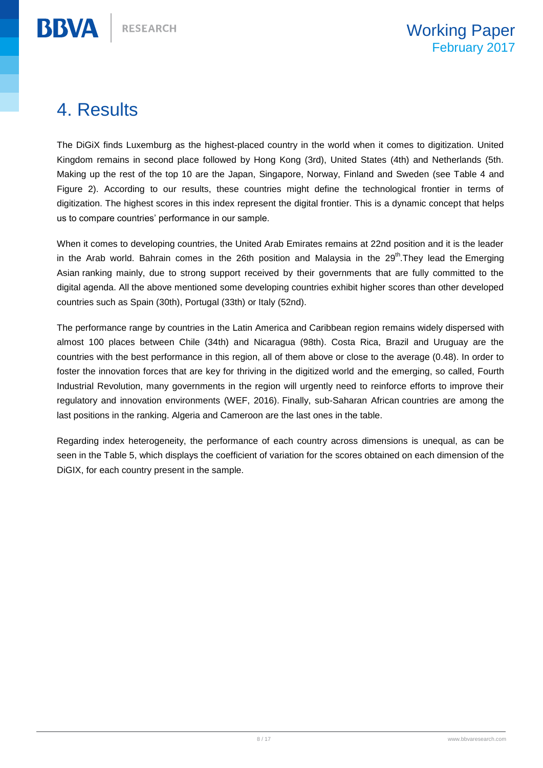## 4. Results

**BBVA** 

The DiGiX finds Luxemburg as the highest-placed country in the world when it comes to digitization. United Kingdom remains in second place followed by Hong Kong (3rd), United States (4th) and Netherlands (5th. Making up the rest of the top 10 are the Japan, Singapore, Norway, Finland and Sweden (see Table 4 and Figure 2). According to our results, these countries might define the technological frontier in terms of digitization. The highest scores in this index represent the digital frontier. This is a dynamic concept that helps us to compare countries' performance in our sample.

When it comes to developing countries, the United Arab Emirates remains at 22nd position and it is the leader in the Arab world. Bahrain comes in the 26th position and Malaysia in the 29<sup>th</sup>. They lead the Emerging Asian ranking mainly, due to strong support received by their governments that are fully committed to the digital agenda. All the above mentioned some developing countries exhibit higher scores than other developed countries such as Spain (30th), Portugal (33th) or Italy (52nd).

The performance range by countries in the Latin America and Caribbean region remains widely dispersed with almost 100 places between Chile (34th) and Nicaragua (98th). Costa Rica, Brazil and Uruguay are the countries with the best performance in this region, all of them above or close to the average (0.48). In order to foster the innovation forces that are key for thriving in the digitized world and the emerging, so called, Fourth Industrial Revolution, many governments in the region will urgently need to reinforce efforts to improve their regulatory and innovation environments (WEF, 2016). Finally, sub-Saharan African countries are among the last positions in the ranking. Algeria and Cameroon are the last ones in the table.

Regarding index heterogeneity, the performance of each country across dimensions is unequal, as can be seen in the Table 5, which displays the coefficient of variation for the scores obtained on each dimension of the DiGIX, for each country present in the sample.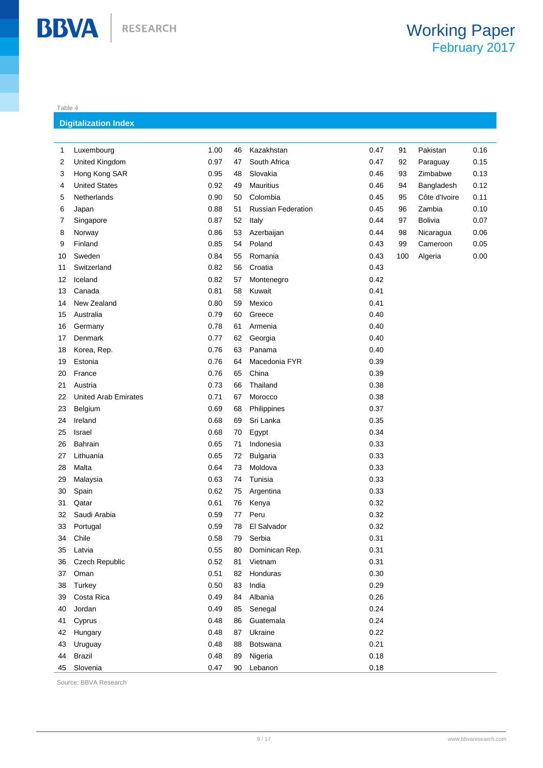#### Table 4

**BBVA** 

#### **Digitalization Index**

| 1  | Luxembourg                  | 1.00 | 46 | Kazakhstan                | 0.47 | 91  | Pakistan      | 0.16 |
|----|-----------------------------|------|----|---------------------------|------|-----|---------------|------|
| 2  | United Kingdom              | 0.97 | 47 | South Africa              | 0.47 | 92  | Paraguay      | 0.15 |
| 3  | Hong Kong SAR               | 0.95 | 48 | Slovakia                  | 0.46 | 93  | Zimbabwe      | 0.13 |
| 4  | <b>United States</b>        | 0.92 | 49 | Mauritius                 | 0.46 | 94  | Bangladesh    | 0.12 |
| 5  | Netherlands                 | 0.90 | 50 | Colombia                  | 0.45 | 95  | Côte d'Ivoire | 0.11 |
| 6  | Japan                       | 0.88 | 51 | <b>Russian Federation</b> | 0.45 | 96  | Zambia        | 0.10 |
| 7  | Singapore                   | 0.87 | 52 | Italy                     | 0.44 | 97  | Bolivia       | 0.07 |
| 8  | Norway                      | 0.86 | 53 | Azerbaijan                | 0.44 | 98  | Nicaragua     | 0.06 |
| 9  | Finland                     | 0.85 | 54 | Poland                    | 0.43 | 99  | Cameroon      | 0.05 |
| 10 | Sweden                      | 0.84 | 55 | Romania                   | 0.43 | 100 | Algeria       | 0.00 |
| 11 | Switzerland                 | 0.82 | 56 | Croatia                   | 0.43 |     |               |      |
| 12 | Iceland                     | 0.82 | 57 | Montenegro                | 0.42 |     |               |      |
| 13 | Canada                      | 0.81 | 58 | Kuwait                    | 0.41 |     |               |      |
| 14 | New Zealand                 | 0.80 | 59 | Mexico                    | 0.41 |     |               |      |
| 15 | Australia                   | 0.79 | 60 | Greece                    | 0.40 |     |               |      |
| 16 | Germany                     | 0.78 | 61 | Armenia                   | 0.40 |     |               |      |
| 17 | Denmark                     | 0.77 | 62 | Georgia                   | 0.40 |     |               |      |
| 18 | Korea, Rep.                 | 0.76 | 63 | Panama                    | 0.40 |     |               |      |
| 19 | Estonia                     | 0.76 | 64 | Macedonia FYR             | 0.39 |     |               |      |
| 20 | France                      | 0.76 | 65 | China                     | 0.39 |     |               |      |
| 21 | Austria                     | 0.73 | 66 | Thailand                  | 0.38 |     |               |      |
| 22 | <b>United Arab Emirates</b> | 0.71 | 67 | Morocco                   | 0.38 |     |               |      |
| 23 | Belgium                     | 0.69 | 68 | Philippines               | 0.37 |     |               |      |
| 24 | Ireland                     | 0.68 | 69 | Sri Lanka                 | 0.35 |     |               |      |
| 25 | Israel                      | 0.68 | 70 | Egypt                     | 0.34 |     |               |      |
| 26 | Bahrain                     | 0.65 | 71 | Indonesia                 | 0.33 |     |               |      |
| 27 | Lithuania                   | 0.65 | 72 | <b>Bulgaria</b>           | 0.33 |     |               |      |
| 28 | Malta                       | 0.64 | 73 | Moldova                   | 0.33 |     |               |      |
| 29 | Malaysia                    | 0.63 | 74 | Tunisia                   | 0.33 |     |               |      |
| 30 | Spain                       | 0.62 | 75 | Argentina                 | 0.33 |     |               |      |
| 31 | Qatar                       | 0.61 | 76 | Kenya                     | 0.32 |     |               |      |
| 32 | Saudi Arabia                | 0.59 | 77 | Peru                      | 0.32 |     |               |      |
| 33 | Portugal                    | 0.59 | 78 | El Salvador               | 0.32 |     |               |      |
| 34 | Chile                       | 0.58 | 79 | Serbia                    | 0.31 |     |               |      |
| 35 | Latvia                      | 0.55 | 80 | Dominican Rep.            | 0.31 |     |               |      |
| 36 | Czech Republic              | 0.52 | 81 | Vietnam                   | 0.31 |     |               |      |
| 37 | Oman                        | 0.51 | 82 | Honduras                  | 0.30 |     |               |      |
| 38 | Turkey                      | 0.50 | 83 | India                     | 0.29 |     |               |      |
| 39 | Costa Rica                  | 0.49 | 84 | Albania                   | 0.26 |     |               |      |
| 40 | Jordan                      | 0.49 | 85 | Senegal                   | 0.24 |     |               |      |
| 41 | Cyprus                      | 0.48 | 86 | Guatemala                 | 0.24 |     |               |      |
| 42 | Hungary                     | 0.48 | 87 | Ukraine                   | 0.22 |     |               |      |
| 43 | Uruguay                     | 0.48 | 88 | <b>Botswana</b>           | 0.21 |     |               |      |
| 44 | <b>Brazil</b>               | 0.48 | 89 | Nigeria                   | 0.18 |     |               |      |
| 45 | Slovenia                    | 0.47 | 90 | Lebanon                   | 0.18 |     |               |      |

Source: BBVA Research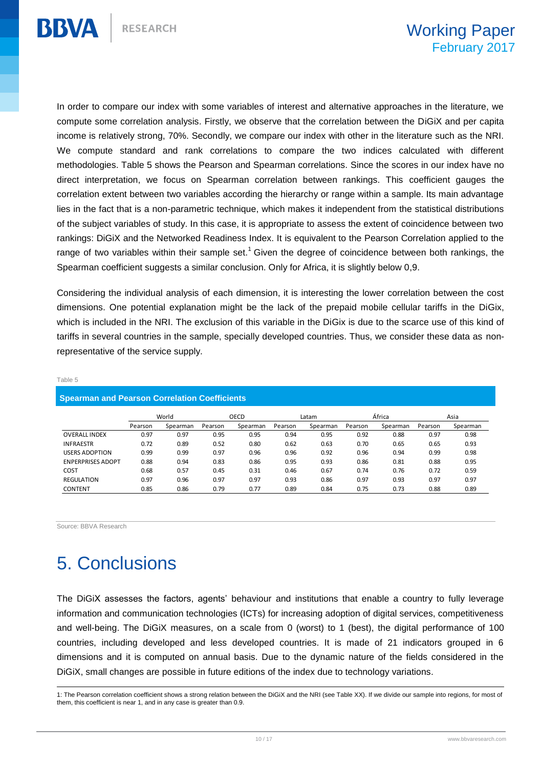

In order to compare our index with some variables of interest and alternative approaches in the literature, we compute some correlation analysis. Firstly, we observe that the correlation between the DiGiX and per capita income is relatively strong, 70%. Secondly, we compare our index with other in the literature such as the NRI. We compute standard and rank correlations to compare the two indices calculated with different methodologies. Table 5 shows the Pearson and Spearman correlations. Since the scores in our index have no direct interpretation, we focus on Spearman correlation between rankings. This coefficient gauges the correlation extent between two variables according the hierarchy or range within a sample. Its main advantage lies in the fact that is a non-parametric technique, which makes it independent from the statistical distributions of the subject variables of study. In this case, it is appropriate to assess the extent of coincidence between two rankings: DiGiX and the Networked Readiness Index. It is equivalent to the Pearson Correlation applied to the range of two variables within their sample set.<sup>1</sup> Given the degree of coincidence between both rankings, the Spearman coefficient suggests a similar conclusion. Only for Africa, it is slightly below 0,9.

Considering the individual analysis of each dimension, it is interesting the lower correlation between the cost dimensions. One potential explanation might be the lack of the prepaid mobile cellular tariffs in the DiGix, which is included in the NRI. The exclusion of this variable in the DiGix is due to the scarce use of this kind of tariffs in several countries in the sample, specially developed countries. Thus, we consider these data as nonrepresentative of the service supply.

#### **Spearman and Pearson Correlation Coefficients** Pearson Spearman Pearson Spearman Pearson Spearman Pearson Spearman Pearson Spearman OVERALL INDEX 0.97 0.97 0.95 0.95 0.94 0.95 0.92 0.88 0.97 0.98 INFRAESTR 0.72 0.89 0.52 0.80 0.62 0.63 0.70 0.65 0.65 0.93 USERS ADOPTION 0.99 0.99 0.97 0.96 0.96 0.92 0.96 0.94 0.99 0.98 ENPERPRISES ADOPT 0.88 0.94 0.83 0.86 0.95 0.93 0.86 0.81 0.88 0.95 COST 0.68 0.57 0.45 0.31 0.46 0.67 0.74 0.76 0.72 0.59 REGULATION 0.97 0.96 0.97 0.97 0.93 0.86 0.97 0.93 0.97 0.97 CONTENT 0.85 0.86 0.79 0.77 0.89 0.84 0.75 0.73 0.88 0.89 World OECD Latam África Asia

#### Table 5

Source: BBVA Research

# 5. Conclusions

The DiGiX assesses the factors, agents' behaviour and institutions that enable a country to fully leverage information and communication technologies (ICTs) for increasing adoption of digital services, competitiveness and well-being. The DiGiX measures, on a scale from 0 (worst) to 1 (best), the digital performance of 100 countries, including developed and less developed countries. It is made of 21 indicators grouped in 6 dimensions and it is computed on annual basis. Due to the dynamic nature of the fields considered in the DiGiX, small changes are possible in future editions of the index due to technology variations.

 1: The Pearson correlation coefficient shows a strong relation between the DiGiX and the NRI (see Table XX). If we divide our sample into regions, for most of them, this coefficient is near 1, and in any case is greater than 0.9.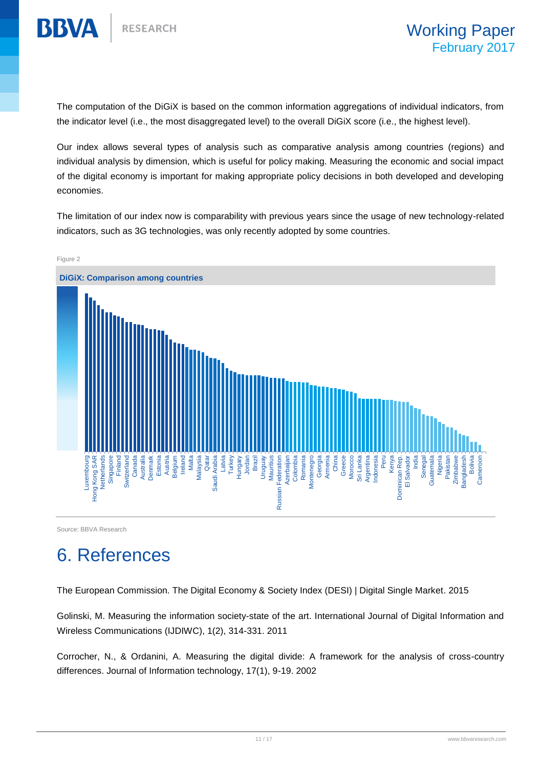

The computation of the DiGiX is based on the common information aggregations of individual indicators, from the indicator level (i.e., the most disaggregated level) to the overall DiGiX score (i.e., the highest level).

Our index allows several types of analysis such as comparative analysis among countries (regions) and individual analysis by dimension, which is useful for policy making. Measuring the economic and social impact of the digital economy is important for making appropriate policy decisions in both developed and developing economies.

The limitation of our index now is comparability with previous years since the usage of new technology-related indicators, such as 3G technologies, was only recently adopted by some countries.



Source: BBVA Research

# 6. References

The European Commission. The Digital Economy & Society Index (DESI) | Digital Single Market. 2015

Golinski, M. Measuring the information society-state of the art. International Journal of Digital Information and Wireless Communications (IJDIWC), 1(2), 314-331. 2011

Corrocher, N., & Ordanini, A. Measuring the digital divide: A framework for the analysis of cross-country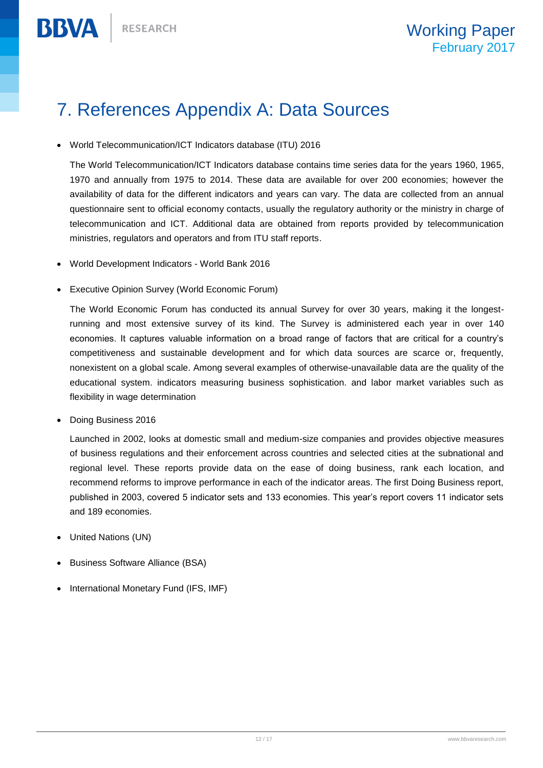**BBVA** 

# 7. References Appendix A: Data Sources

World Telecommunication/ICT Indicators database (ITU) 2016

The World Telecommunication/ICT Indicators database contains time series data for the years 1960, 1965, 1970 and annually from 1975 to 2014. These data are available for over 200 economies; however the availability of data for the different indicators and years can vary. The data are collected from an annual questionnaire sent to official economy contacts, usually the regulatory authority or the ministry in charge of telecommunication and ICT. Additional data are obtained from reports provided by telecommunication ministries, regulators and operators and from ITU staff reports.

- World Development Indicators World Bank 2016
- Executive Opinion Survey (World Economic Forum)

The World Economic Forum has conducted its annual Survey for over 30 years, making it the longestrunning and most extensive survey of its kind. The Survey is administered each year in over 140 economies. It captures valuable information on a broad range of factors that are critical for a country's competitiveness and sustainable development and for which data sources are scarce or, frequently, nonexistent on a global scale. Among several examples of otherwise-unavailable data are the quality of the educational system. indicators measuring business sophistication. and labor market variables such as flexibility in wage determination

Doing Business 2016

Launched in 2002, looks at domestic small and medium-size companies and provides objective measures of business regulations and their enforcement across countries and selected cities at the subnational and regional level. These reports provide data on the ease of doing business, rank each location, and recommend reforms to improve performance in each of the indicator areas. The first Doing Business report, published in 2003, covered 5 indicator sets and 133 economies. This year's report covers 11 indicator sets and 189 economies.

- United Nations (UN)
- Business Software Alliance (BSA)
- International Monetary Fund (IFS, IMF)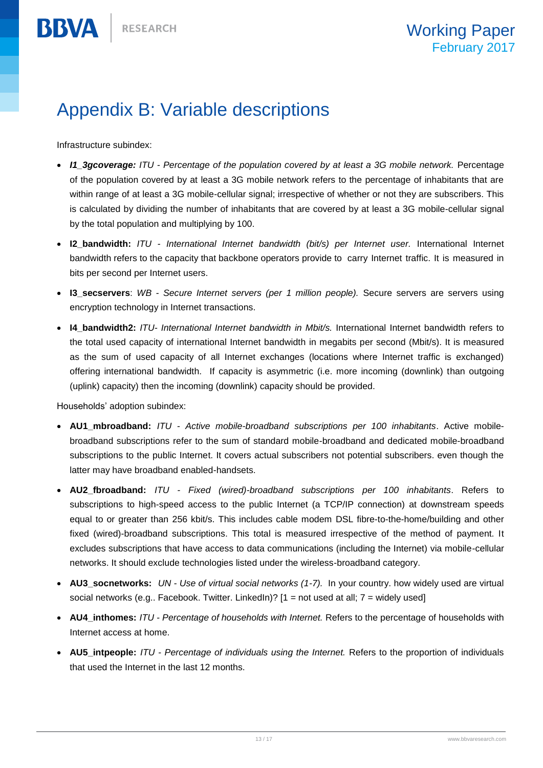# Appendix B: Variable descriptions

Infrastructure subindex:

**BBVA** 

- *I1\_3gcoverage: ITU - Percentage of the population covered by at least a 3G mobile network.* Percentage of the population covered by at least a 3G mobile network refers to the percentage of inhabitants that are within range of at least a 3G mobile-cellular signal; irrespective of whether or not they are subscribers. This is calculated by dividing the number of inhabitants that are covered by at least a 3G mobile-cellular signal by the total population and multiplying by 100.
- **I2\_bandwidth:** *ITU - International Internet bandwidth (bit/s) per Internet user.* International Internet bandwidth refers to the capacity that backbone operators provide to carry Internet traffic. It is measured in bits per second per Internet users.
- **I3\_secservers**: *WB - Secure Internet servers (per 1 million people).* Secure servers are servers using encryption technology in Internet transactions.
- **I4\_bandwidth2:** *ITU- International Internet bandwidth in Mbit/s.* International Internet bandwidth refers to the total used capacity of international Internet bandwidth in megabits per second (Mbit/s). It is measured as the sum of used capacity of all Internet exchanges (locations where Internet traffic is exchanged) offering international bandwidth. If capacity is asymmetric (i.e. more incoming (downlink) than outgoing (uplink) capacity) then the incoming (downlink) capacity should be provided.

Households' adoption subindex:

- **AU1\_mbroadband:** *ITU - Active mobile-broadband subscriptions per 100 inhabitants*. Active mobilebroadband subscriptions refer to the sum of standard mobile-broadband and dedicated mobile-broadband subscriptions to the public Internet. It covers actual subscribers not potential subscribers. even though the latter may have broadband enabled-handsets.
- **AU2\_fbroadband:** *ITU - Fixed (wired)-broadband subscriptions per 100 inhabitants*. Refers to subscriptions to high-speed access to the public Internet (a TCP/IP connection) at downstream speeds equal to or greater than 256 kbit/s. This includes cable modem DSL fibre-to-the-home/building and other fixed (wired)-broadband subscriptions. This total is measured irrespective of the method of payment. It excludes subscriptions that have access to data communications (including the Internet) via mobile-cellular networks. It should exclude technologies listed under the wireless-broadband category.
- **AU3\_socnetworks:** *UN - Use of virtual social networks (1-7).* In your country. how widely used are virtual social networks (e.g.. Facebook. Twitter. LinkedIn)? [1 = not used at all; 7 = widely used]
- **AU4\_inthomes:** *ITU - Percentage of households with Internet.* Refers to the percentage of households with Internet access at home.
- **AU5\_intpeople:** *ITU - Percentage of individuals using the Internet.* Refers to the proportion of individuals that used the Internet in the last 12 months.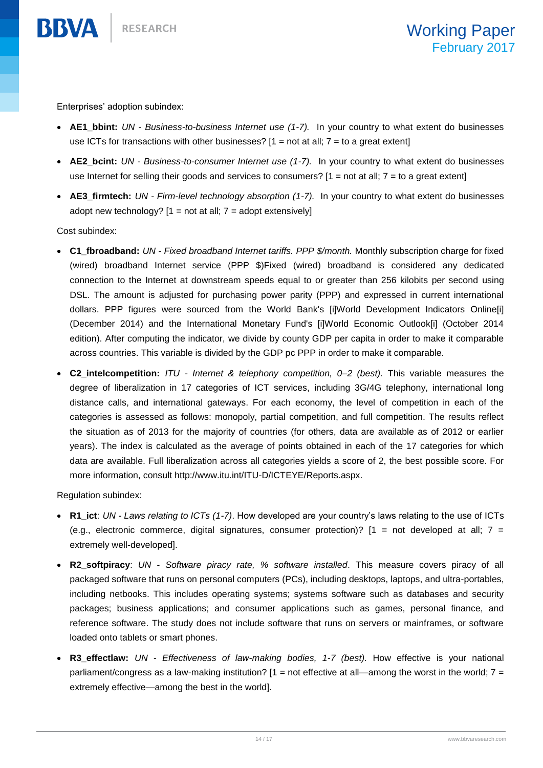Enterprises' adoption subindex:

- **AE1\_bbint:** *UN - Business-to-business Internet use (1-7).* In your country to what extent do businesses use ICTs for transactions with other businesses?  $[1 = not at all; 7 = to a great extent]$
- **AE2\_bcint:** *UN - Business-to-consumer Internet use (1-7).* In your country to what extent do businesses use Internet for selling their goods and services to consumers?  $[1 = not at all; 7 = to a great extent]$
- **AE3\_firmtech:** *UN - Firm-level technology absorption (1-7).* In your country to what extent do businesses adopt new technology?  $[1 = not at all; 7 = adopt extensively]$

Cost subindex:

**BBVA** 

- **C1\_fbroadband:** *UN - Fixed broadband Internet tariffs. PPP \$/month.* Monthly subscription charge for fixed (wired) broadband Internet service (PPP \$)Fixed (wired) broadband is considered any dedicated connection to the Internet at downstream speeds equal to or greater than 256 kilobits per second using DSL. The amount is adjusted for purchasing power parity (PPP) and expressed in current international dollars. PPP figures were sourced from the World Bank's [i]World Development Indicators Online[i] (December 2014) and the International Monetary Fund's [i]World Economic Outlook[i] (October 2014 edition). After computing the indicator, we divide by county GDP per capita in order to make it comparable across countries. This variable is divided by the GDP pc PPP in order to make it comparable.
- **C2\_intelcompetition:** *ITU - Internet & telephony competition, 0–2 (best).* This variable measures the degree of liberalization in 17 categories of ICT services, including 3G/4G telephony, international long distance calls, and international gateways. For each economy, the level of competition in each of the categories is assessed as follows: monopoly, partial competition, and full competition. The results reflect the situation as of 2013 for the majority of countries (for others, data are available as of 2012 or earlier years). The index is calculated as the average of points obtained in each of the 17 categories for which data are available. Full liberalization across all categories yields a score of 2, the best possible score. For more information, consult http://www.itu.int/ITU-D/ICTEYE/Reports.aspx.

Regulation subindex:

- **R1\_ict**: *UN - Laws relating to ICTs (1-7)*. How developed are your country's laws relating to the use of ICTs (e.g., electronic commerce, digital signatures, consumer protection)?  $[1 = not developed at all; 7 =$ extremely well-developed].
- **R2\_softpiracy**: *UN - Software piracy rate, % software installed*. This measure covers piracy of all packaged software that runs on personal computers (PCs), including desktops, laptops, and ultra-portables, including netbooks. This includes operating systems; systems software such as databases and security packages; business applications; and consumer applications such as games, personal finance, and reference software. The study does not include software that runs on servers or mainframes, or software loaded onto tablets or smart phones.
- **R3\_effectlaw:** *UN - Effectiveness of law-making bodies, 1-7 (best).* How effective is your national parliament/congress as a law-making institution?  $[1 = not$  effective at all—among the worst in the world;  $7 =$ extremely effective—among the best in the world].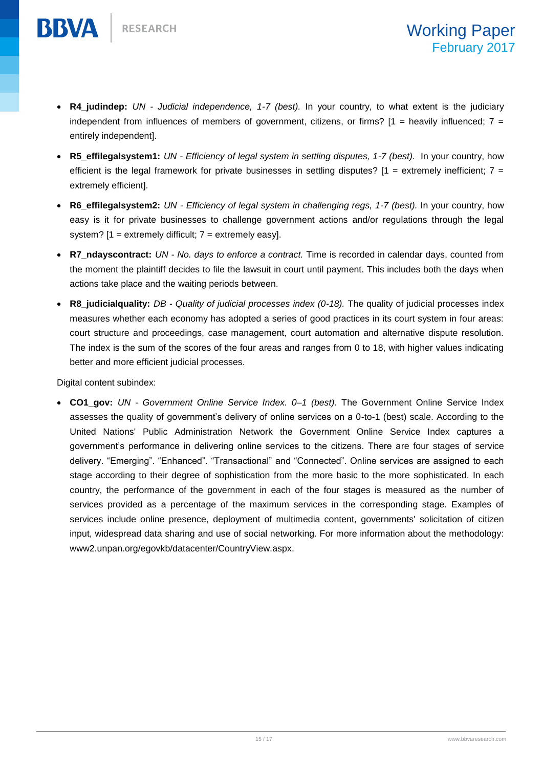**BBVA** 

- **R4\_judindep:** *UN - Judicial independence, 1-7 (best).* In your country, to what extent is the judiciary independent from influences of members of government, citizens, or firms?  $[1 =$  heavily influenced;  $7 =$ entirely independent].
- **R5\_effilegalsystem1:** *UN - Efficiency of legal system in settling disputes, 1-7 (best).* In your country, how efficient is the legal framework for private businesses in settling disputes?  $[1 =$  extremely inefficient;  $7 =$ extremely efficient].
- **R6\_effilegalsystem2:** *UN - Efficiency of legal system in challenging regs, 1-7 (best).* In your country, how easy is it for private businesses to challenge government actions and/or regulations through the legal system?  $[1 =$  extremely difficult;  $7 =$  extremely easy].
- **R7\_ndayscontract:** *UN - No. days to enforce a contract.* Time is recorded in calendar days, counted from the moment the plaintiff decides to file the lawsuit in court until payment. This includes both the days when actions take place and the waiting periods between.
- **R8\_judicialquality:** *DB - Quality of judicial processes index (0-18).* The quality of judicial processes index measures whether each economy has adopted a series of good practices in its court system in four areas: court structure and proceedings, case management, court automation and alternative dispute resolution. The index is the sum of the scores of the four areas and ranges from 0 to 18, with higher values indicating better and more efficient judicial processes.

Digital content subindex:

 **CO1\_gov:** *UN - Government Online Service Index. 0–1 (best).* The Government Online Service Index assesses the quality of government's delivery of online services on a 0-to-1 (best) scale. According to the United Nations' Public Administration Network the Government Online Service Index captures a government's performance in delivering online services to the citizens. There are four stages of service delivery. "Emerging". "Enhanced". "Transactional" and "Connected". Online services are assigned to each stage according to their degree of sophistication from the more basic to the more sophisticated. In each country, the performance of the government in each of the four stages is measured as the number of services provided as a percentage of the maximum services in the corresponding stage. Examples of services include online presence, deployment of multimedia content, governments' solicitation of citizen input, widespread data sharing and use of social networking. For more information about the methodology: www2.unpan.org/egovkb/datacenter/CountryView.aspx.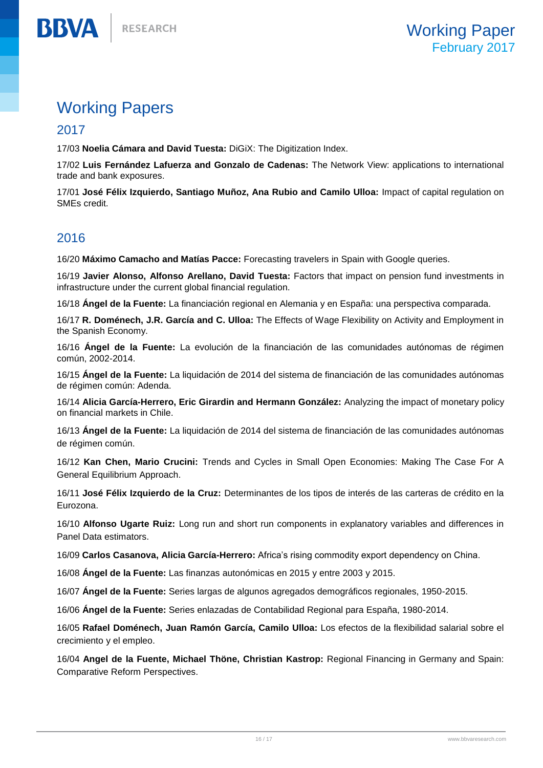## Working Papers

### 2017

**BBVA** 

17/03 **Noelia Cámara and David Tuesta:** DiGiX: The Digitization Index.

17/02 **Luis Fernández Lafuerza and Gonzalo de Cadenas:** The Network View: applications to international trade and bank exposures.

17/01 **José Félix Izquierdo, Santiago Muñoz, Ana Rubio and Camilo Ulloa:** Impact of capital regulation on SMEs credit.

### 2016

16/20 **Máximo Camacho and Matías Pacce:** Forecasting travelers in Spain with Google queries.

16/19 **Javier Alonso, Alfonso Arellano, David Tuesta:** Factors that impact on pension fund investments in infrastructure under the current global financial regulation.

16/18 **Ángel de la Fuente:** La financiación regional en Alemania y en España: una perspectiva comparada.

16/17 **R. Doménech, J.R. García and C. Ulloa:** The Effects of Wage Flexibility on Activity and Employment in the Spanish Economy.

16/16 **Ángel de la Fuente:** La evolución de la financiación de las comunidades autónomas de régimen común, 2002-2014.

16/15 **Ángel de la Fuente:** La liquidación de 2014 del sistema de financiación de las comunidades autónomas de régimen común: Adenda.

16/14 **Alicia García-Herrero, Eric Girardin and Hermann González:** Analyzing the impact of monetary policy on financial markets in Chile.

16/13 **Ángel de la Fuente:** La liquidación de 2014 del sistema de financiación de las comunidades autónomas de régimen común.

16/12 **Kan Chen, Mario Crucini:** Trends and Cycles in Small Open Economies: Making The Case For A General Equilibrium Approach.

16/11 **José Félix Izquierdo de la Cruz:** Determinantes de los tipos de interés de las carteras de crédito en la Eurozona.

16/10 **Alfonso Ugarte Ruiz:** Long run and short run components in explanatory variables and differences in Panel Data estimators.

16/09 **Carlos Casanova, Alicia García-Herrero:** Africa's rising commodity export dependency on China.

16/08 **Ángel de la Fuente:** Las finanzas autonómicas en 2015 y entre 2003 y 2015.

16/07 **Ángel de la Fuente:** Series largas de algunos agregados demográficos regionales, 1950-2015.

16/06 **Ángel de la Fuente:** Series enlazadas de Contabilidad Regional para España, 1980-2014.

16/05 **Rafael Doménech, Juan Ramón García, Camilo Ulloa:** Los efectos de la flexibilidad salarial sobre el crecimiento y el empleo.

16/04 **Angel de la Fuente, Michael Thöne, Christian Kastrop:** Regional Financing in Germany and Spain: Comparative Reform Perspectives.